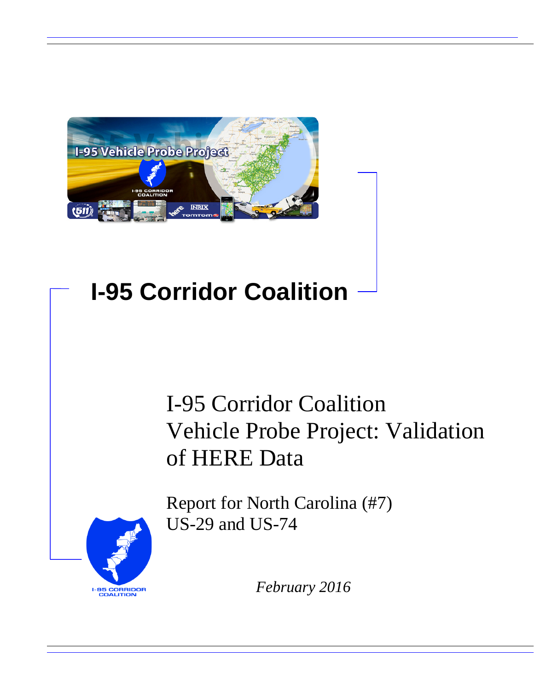

# **I-95 Corridor Coalition**

# I-95 Corridor Coalition Vehicle Probe Project: Validation of HERE Data

**I-95 CORRIDOR**<br>COALITION

Report for North Carolina (#7) US-29 and US-74

*February 2016*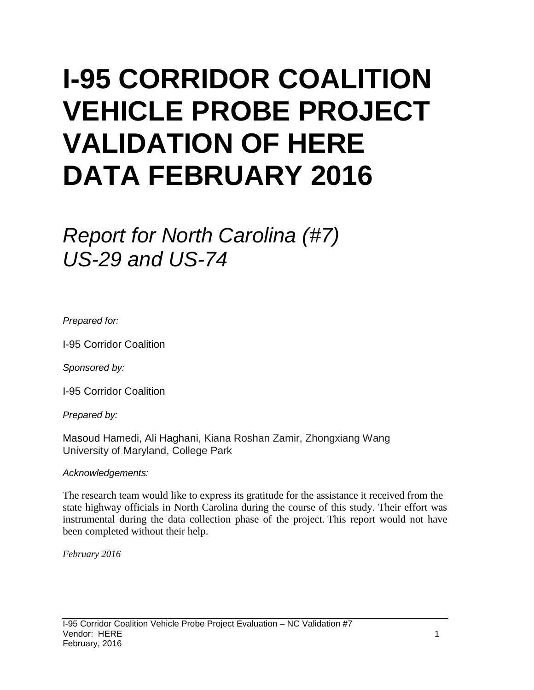# **I-95 CORRIDOR COALITION VEHICLE PROBE PROJECT VALIDATION OF HERE DATA FEBRUARY 2016**

# *Report for North Carolina (#7) US-29 and US-74*

*Prepared for:*

I-95 Corridor Coalition

*Sponsored by:*

I-95 Corridor Coalition

*Prepared by:*

Masoud Hamedi, Ali Haghani, Kiana Roshan Zamir, Zhongxiang Wang University of Maryland, College Park

#### *Acknowledgements:*

The research team would like to express its gratitude for the assistance it received from the state highway officials in North Carolina during the course of this study. Their effort was instrumental during the data collection phase of the project. This report would not have been completed without their help.

*February 2016*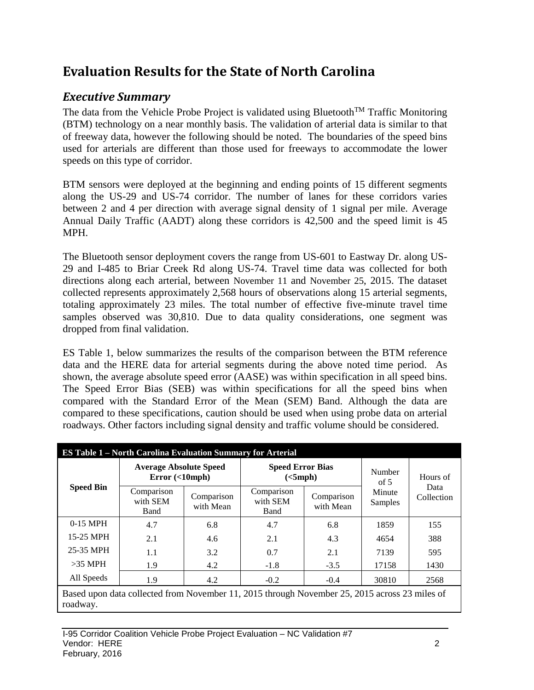## **Evaluation Results for the State of North Carolina**

## *Executive Summary*

The data from the Vehicle Probe Project is validated using Bluetooth<sup>TM</sup> Traffic Monitoring (BTM) technology on a near monthly basis. The validation of arterial data is similar to that of freeway data, however the following should be noted. The boundaries of the speed bins used for arterials are different than those used for freeways to accommodate the lower speeds on this type of corridor.

BTM sensors were deployed at the beginning and ending points of 15 different segments along the US-29 and US-74 corridor. The number of lanes for these corridors varies between 2 and 4 per direction with average signal density of 1 signal per mile. Average Annual Daily Traffic (AADT) along these corridors is 42,500 and the speed limit is 45 MPH.

The Bluetooth sensor deployment covers the range from US-601 to Eastway Dr. along US-29 and I-485 to Briar Creek Rd along US-74. Travel time data was collected for both directions along each arterial, between November 11 and November 25, 2015. The dataset collected represents approximately 2,568 hours of observations along 15 arterial segments, totaling approximately 23 miles. The total number of effective five-minute travel time samples observed was 30,810. Due to data quality considerations, one segment was dropped from final validation.

ES Table 1, below summarizes the results of the comparison between the BTM reference data and the HERE data for arterial segments during the above noted time period. As shown, the average absolute speed error (AASE) was within specification in all speed bins. The Speed Error Bias (SEB) was within specifications for all the speed bins when compared with the Standard Error of the Mean (SEM) Band. Although the data are compared to these specifications, caution should be used when using probe data on arterial roadways. Other factors including signal density and traffic volume should be considered.

|                                | <b>ES Table 1 – North Carolina Evaluation Summary for Arterial</b>                            |                         |                                     |                         |                   |                    |  |  |  |  |
|--------------------------------|-----------------------------------------------------------------------------------------------|-------------------------|-------------------------------------|-------------------------|-------------------|--------------------|--|--|--|--|
|                                | <b>Average Absolute Speed</b><br>Error(<10                                                    |                         | <b>Speed Error Bias</b><br>(<5 mph) |                         | Number<br>of $5$  | Hours of           |  |  |  |  |
| <b>Speed Bin</b><br>$0-15$ MPH | Comparison<br>with SEM<br>Band                                                                | Comparison<br>with Mean | Comparison<br>with SEM<br>Band      | Comparison<br>with Mean | Minute<br>Samples | Data<br>Collection |  |  |  |  |
|                                | 4.7<br>6.8                                                                                    |                         | 4.7                                 | 6.8                     | 1859              | 155                |  |  |  |  |
| 15-25 MPH                      | 2.1                                                                                           | 4.6                     | 2.1                                 | 4.3                     | 4654              | 388                |  |  |  |  |
| 25-35 MPH                      | 1.1                                                                                           | 3.2                     | 0.7                                 | 2.1                     | 7139              | 595                |  |  |  |  |
| $>35$ MPH                      | 1.9                                                                                           | 4.2                     | $-1.8$                              | $-3.5$                  | 17158             | 1430               |  |  |  |  |
| All Speeds                     | 30810                                                                                         | 2568                    |                                     |                         |                   |                    |  |  |  |  |
|                                | Based upon data collected from November 11, 2015 through November 25, 2015 across 23 miles of |                         |                                     |                         |                   |                    |  |  |  |  |

roadway.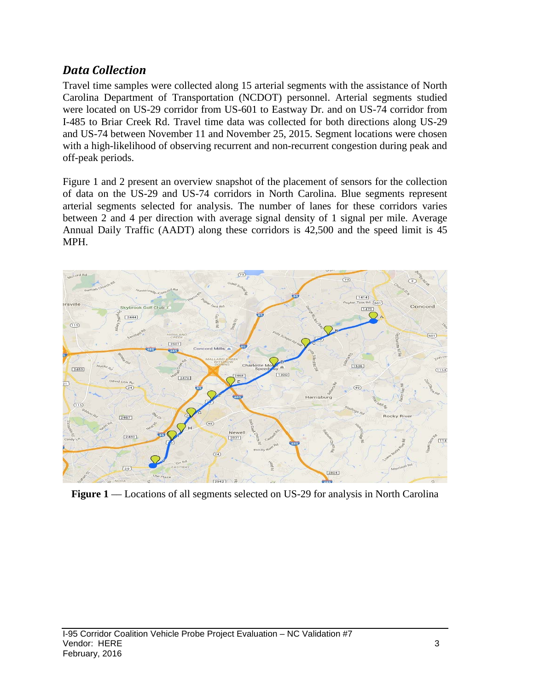### *Data Collection*

Travel time samples were collected along 15 arterial segments with the assistance of North Carolina Department of Transportation (NCDOT) personnel. Arterial segments studied were located on US-29 corridor from US-601 to Eastway Dr. and on US-74 corridor from I-485 to Briar Creek Rd. Travel time data was collected for both directions along US-29 and US-74 between November 11 and November 25, 2015. Segment locations were chosen with a high-likelihood of observing recurrent and non-recurrent congestion during peak and off-peak periods.

Figure 1 and 2 present an overview snapshot of the placement of sensors for the collection of data on the US-29 and US-74 corridors in North Carolina. Blue segments represent arterial segments selected for analysis. The number of lanes for these corridors varies between 2 and 4 per direction with average signal density of 1 signal per mile. Average Annual Daily Traffic (AADT) along these corridors is 42,500 and the speed limit is 45 MPH.



**Figure 1** — Locations of all segments selected on US-29 for analysis in North Carolina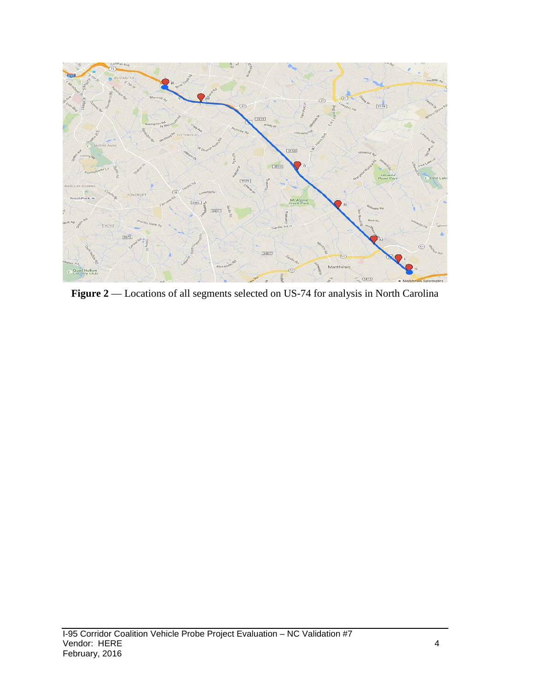

Figure 2 –– Locations of all segments selected on US-74 for analysis in North Carolina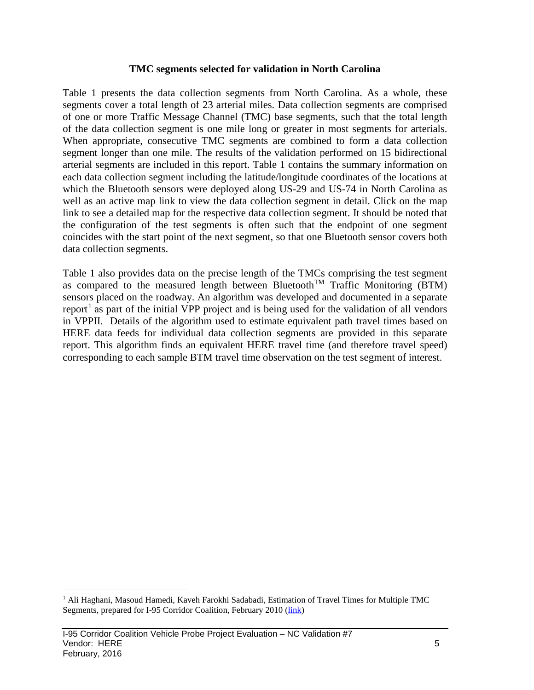#### **TMC segments selected for validation in North Carolina**

Table 1 presents the data collection segments from North Carolina. As a whole, these segments cover a total length of 23 arterial miles. Data collection segments are comprised of one or more Traffic Message Channel (TMC) base segments, such that the total length of the data collection segment is one mile long or greater in most segments for arterials. When appropriate, consecutive TMC segments are combined to form a data collection segment longer than one mile. The results of the validation performed on 15 bidirectional arterial segments are included in this report. Table 1 contains the summary information on each data collection segment including the latitude/longitude coordinates of the locations at which the Bluetooth sensors were deployed along US-29 and US-74 in North Carolina as well as an active map link to view the data collection segment in detail. Click on the map link to see a detailed map for the respective data collection segment. It should be noted that the configuration of the test segments is often such that the endpoint of one segment coincides with the start point of the next segment, so that one Bluetooth sensor covers both data collection segments.

Table 1 also provides data on the precise length of the TMCs comprising the test segment as compared to the measured length between Bluetooth<sup>TM</sup> Traffic Monitoring (BTM) sensors placed on the roadway. An algorithm was developed and documented in a separate report<sup>[1](#page-5-0)</sup> as part of the initial VPP project and is being used for the validation of all vendors in VPPII. Details of the algorithm used to estimate equivalent path travel times based on HERE data feeds for individual data collection segments are provided in this separate report. This algorithm finds an equivalent HERE travel time (and therefore travel speed) corresponding to each sample BTM travel time observation on the test segment of interest.

<span id="page-5-0"></span><sup>&</sup>lt;sup>1</sup> Ali Haghani, Masoud Hamedi, Kaveh Farokhi Sadabadi, Estimation of Travel Times for Multiple TMC Segments, prepared for I-95 Corridor Coalition, February 2010 [\(link\)](http://www.i95coalition.org/wp-content/uploads/2015/02/I-95-CC-Estimation-of-Travel-Times-for-Multiple-TMC-Segments-FINAL2.pdf)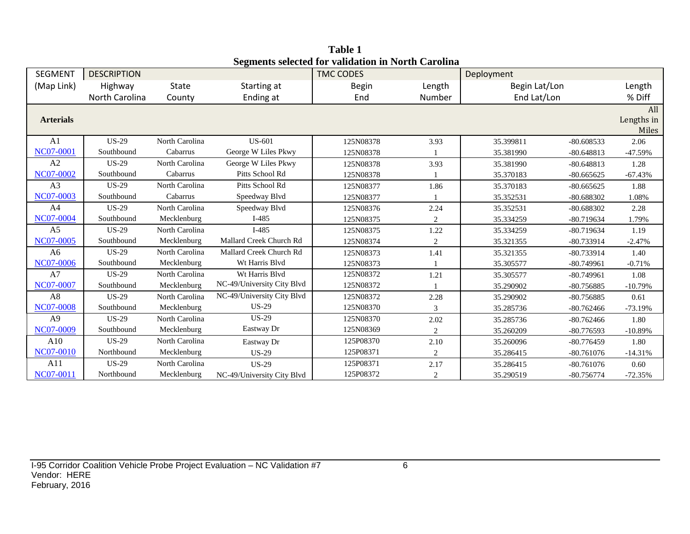| <b>SEGMENT</b>   | <b>DESCRIPTION</b> |                |                            | редикив эсксили тот уапланон нгтургиг Сагонна<br><b>TMC CODES</b> |                | Deployment    |              |                            |
|------------------|--------------------|----------------|----------------------------|-------------------------------------------------------------------|----------------|---------------|--------------|----------------------------|
| (Map Link)       | Highway            | State          | Starting at                | <b>Begin</b>                                                      | Length         | Begin Lat/Lon |              | Length                     |
|                  | North Carolina     | County         | Ending at                  | End                                                               | Number         | End Lat/Lon   |              | % Diff                     |
| <b>Arterials</b> |                    |                |                            |                                                                   |                |               |              | All<br>Lengths in<br>Miles |
| A <sub>1</sub>   | <b>US-29</b>       | North Carolina | <b>US-601</b>              | 125N08378                                                         | 3.93           | 35.399811     | $-80.608533$ | 2.06                       |
| <b>NC07-0001</b> | Southbound         | Cabarrus       | George W Liles Pkwy        | 125N08378                                                         |                | 35.381990     | $-80.648813$ | $-47.59%$                  |
| A2               | <b>US-29</b>       | North Carolina | George W Liles Pkwy        | 125N08378                                                         | 3.93           | 35.381990     | $-80.648813$ | 1.28                       |
| <b>NC07-0002</b> | Southbound         | Cabarrus       | Pitts School Rd            | 125N08378                                                         |                | 35.370183     | $-80.665625$ | $-67.43%$                  |
| A3               | <b>US-29</b>       | North Carolina | Pitts School Rd            | 125N08377                                                         | 1.86           | 35.370183     | $-80.665625$ | 1.88                       |
| NC07-0003        | Southbound         | Cabarrus       | Speedway Blvd              | 125N08377                                                         |                | 35.352531     | $-80.688302$ | 1.08%                      |
| A4               | <b>US-29</b>       | North Carolina | Speedway Blvd              | 125N08376                                                         | 2.24           | 35.352531     | $-80.688302$ | 2.28                       |
| NC07-0004        | Southbound         | Mecklenburg    | $I-485$                    | 125N08375                                                         | 2              | 35.334259     | $-80.719634$ | 1.79%                      |
| A <sub>5</sub>   | $US-29$            | North Carolina | $I-485$                    | 125N08375                                                         | 1.22           | 35.334259     | $-80.719634$ | 1.19                       |
| NC07-0005        | Southbound         | Mecklenburg    | Mallard Creek Church Rd    | 125N08374                                                         | $\overline{c}$ | 35.321355     | -80.733914   | $-2.47%$                   |
| A <sub>6</sub>   | <b>US-29</b>       | North Carolina | Mallard Creek Church Rd    | 125N08373                                                         | 1.41           | 35.321355     | $-80.733914$ | 1.40                       |
| NC07-0006        | Southbound         | Mecklenburg    | Wt Harris Blvd             | 125N08373                                                         |                | 35.305577     | $-80.749961$ | $-0.71%$                   |
| A7               | <b>US-29</b>       | North Carolina | Wt Harris Blvd             | 125N08372                                                         | 1.21           | 35.305577     | $-80.749961$ | 1.08                       |
| NC07-0007        | Southbound         | Mecklenburg    | NC-49/University City Blvd | 125N08372                                                         |                | 35.290902     | $-80.756885$ | $-10.79%$                  |
| A8               | <b>US-29</b>       | North Carolina | NC-49/University City Blvd | 125N08372                                                         | 2.28           | 35.290902     | $-80.756885$ | 0.61                       |
| <b>NC07-0008</b> | Southbound         | Mecklenburg    | $US-29$                    | 125N08370                                                         | 3              | 35.285736     | $-80.762466$ | $-73.19%$                  |
| A <sub>9</sub>   | <b>US-29</b>       | North Carolina | $US-29$                    | 125N08370                                                         | 2.02           | 35.285736     | $-80.762466$ | 1.80                       |
| NC07-0009        | Southbound         | Mecklenburg    | Eastway Dr                 | 125N08369                                                         | 2              | 35.260209     | $-80.776593$ | $-10.89%$                  |
| A10              | <b>US-29</b>       | North Carolina | Eastway Dr                 | 125P08370                                                         | 2.10           | 35.260096     | $-80.776459$ | 1.80                       |
| NC07-0010        | Northbound         | Mecklenburg    | <b>US-29</b>               | 125P08371                                                         | 2              | 35.286415     | $-80.761076$ | $-14.31%$                  |
| A11              | <b>US-29</b>       | North Carolina | <b>US-29</b>               | 125P08371                                                         | 2.17           | 35.286415     | $-80.761076$ | 0.60                       |
| NC07-0011        | Northbound         | Mecklenburg    | NC-49/University City Blvd | 125P08372                                                         | 2              | 35.290519     | $-80.756774$ | $-72.35%$                  |

**Table 1 Segments selected for validation in North Carolina**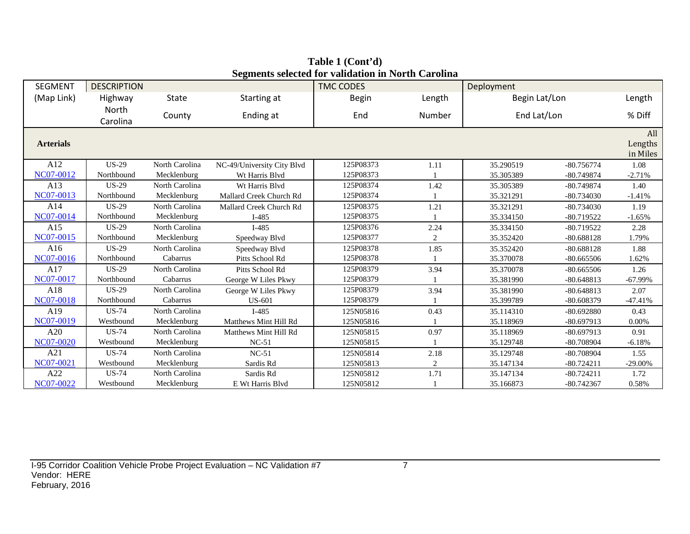| <b>SEGMENT</b>   | <b>DESCRIPTION</b> |                |                            | <b>TMC CODES</b> |                | Deployment    |              |                            |
|------------------|--------------------|----------------|----------------------------|------------------|----------------|---------------|--------------|----------------------------|
| (Map Link)       | Highway            | <b>State</b>   | Starting at                | Begin            | Length         | Begin Lat/Lon |              | Length                     |
|                  | North<br>Carolina  | County         | Ending at                  | End              | Number         | End Lat/Lon   |              | % Diff                     |
| <b>Arterials</b> |                    |                |                            |                  |                |               |              | All<br>Lengths<br>in Miles |
| A12              | <b>US-29</b>       | North Carolina | NC-49/University City Blvd | 125P08373        | 1.11           | 35.290519     | $-80.756774$ | 1.08                       |
| NC07-0012        | Northbound         | Mecklenburg    | Wt Harris Blvd             | 125P08373        |                | 35.305389     | -80.749874   | $-2.71%$                   |
| A13              | $US-29$            | North Carolina | Wt Harris Blvd             | 125P08374        | 1.42           | 35.305389     | $-80.749874$ | 1.40                       |
| NC07-0013        | Northbound         | Mecklenburg    | Mallard Creek Church Rd    | 125P08374        |                | 35.321291     | $-80.734030$ | $-1.41%$                   |
| A14              | <b>US-29</b>       | North Carolina | Mallard Creek Church Rd    | 125P08375        | 1.21           | 35.321291     | $-80.734030$ | 1.19                       |
| NC07-0014        | Northbound         | Mecklenburg    | $I-485$                    | 125P08375        |                | 35.334150     | $-80.719522$ | $-1.65%$                   |
| A15              | <b>US-29</b>       | North Carolina | $I-485$                    | 125P08376        | 2.24           | 35.334150     | $-80.719522$ | 2.28                       |
| NC07-0015        | Northbound         | Mecklenburg    | Speedway Blvd              | 125P08377        | $\overline{c}$ | 35.352420     | $-80.688128$ | 1.79%                      |
| A16              | $US-29$            | North Carolina | Speedway Blvd              | 125P08378        | 1.85           | 35.352420     | $-80.688128$ | 1.88                       |
| NC07-0016        | Northbound         | Cabarrus       | Pitts School Rd            | 125P08378        |                | 35.370078     | $-80.665506$ | 1.62%                      |
| A17              | <b>US-29</b>       | North Carolina | Pitts School Rd            | 125P08379        | 3.94           | 35.370078     | $-80.665506$ | 1.26                       |
| NC07-0017        | Northbound         | Cabarrus       | George W Liles Pkwy        | 125P08379        |                | 35.381990     | $-80.648813$ | $-67.99%$                  |
| A18              | <b>US-29</b>       | North Carolina | George W Liles Pkwy        | 125P08379        | 3.94           | 35.381990     | $-80.648813$ | 2.07                       |
| NC07-0018        | Northbound         | Cabarrus       | <b>US-601</b>              | 125P08379        |                | 35.399789     | $-80.608379$ | $-47.41%$                  |
| A19              | <b>US-74</b>       | North Carolina | $I-485$                    | 125N05816        | 0.43           | 35.114310     | $-80.692880$ | 0.43                       |
| NC07-0019        | Westbound          | Mecklenburg    | Matthews Mint Hill Rd      | 125N05816        |                | 35.118969     | $-80.697913$ | 0.00%                      |
| A20              | <b>US-74</b>       | North Carolina | Matthews Mint Hill Rd      | 125N05815        | 0.97           | 35.118969     | $-80.697913$ | 0.91                       |
| <b>NC07-0020</b> | Westbound          | Mecklenburg    | $NC-51$                    | 125N05815        |                | 35.129748     | -80.708904   | $-6.18%$                   |
| A21              | <b>US-74</b>       | North Carolina | $NC-51$                    | 125N05814        | 2.18           | 35.129748     | -80.708904   | 1.55                       |
| NC07-0021        | Westbound          | Mecklenburg    | Sardis Rd                  | 125N05813        | 2              | 35.147134     | $-80.724211$ | $-29.00%$                  |
| A22              | <b>US-74</b>       | North Carolina | Sardis Rd                  | 125N05812        | 1.71           | 35.147134     | $-80.724211$ | 1.72                       |
| NC07-0022        | Westbound          | Mecklenburg    | E Wt Harris Blvd           | 125N05812        |                | 35.166873     | $-80.742367$ | 0.58%                      |

**Table 1 (Cont'd) Segments selected for validation in North Carolina**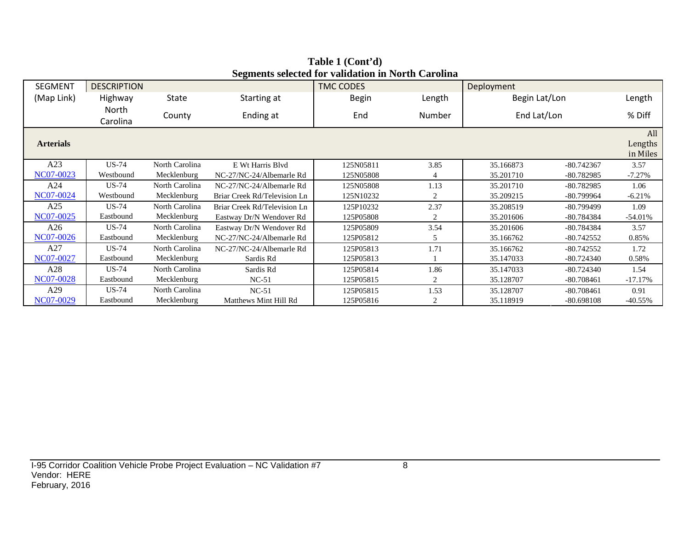| <b>SEGMENT</b>   | <b>DESCRIPTION</b> |                |                              | <b>TMC CODES</b> |                | Deployment    |              |            |  |  |
|------------------|--------------------|----------------|------------------------------|------------------|----------------|---------------|--------------|------------|--|--|
| (Map Link)       | Highway            | <b>State</b>   | Starting at                  | Begin            | Length         | Begin Lat/Lon |              | Length     |  |  |
|                  | North<br>Carolina  | County         | Ending at                    | End              | Number         | End Lat/Lon   |              | % Diff     |  |  |
| <b>Arterials</b> |                    |                |                              |                  |                |               |              |            |  |  |
| A23              | <b>US-74</b>       | North Carolina | E Wt Harris Blvd             | 125N05811        | 3.85           | 35.166873     | $-80.742367$ | 3.57       |  |  |
| NC07-0023        | Westbound          | Mecklenburg    | NC-27/NC-24/Albemarle Rd     | 125N05808        |                | 35.201710     | $-80.782985$ | $-7.27%$   |  |  |
| A24              | <b>US-74</b>       | North Carolina | NC-27/NC-24/Albemarle Rd     | 125N05808        | 1.13           | 35.201710     | $-80.782985$ | 1.06       |  |  |
| NC07-0024        | Westbound          | Mecklenburg    | Briar Creek Rd/Television Ln | 125N10232        | $\overline{2}$ | 35.209215     | -80.799964   | $-6.21%$   |  |  |
| A25              | <b>US-74</b>       | North Carolina | Briar Creek Rd/Television Ln | 125P10232        | 2.37           | 35.208519     | $-80.799499$ | 1.09       |  |  |
| NC07-0025        | Eastbound          | Mecklenburg    | Eastway Dr/N Wendover Rd     | 125P05808        | 2              | 35.201606     | -80.784384   | $-54.01%$  |  |  |
| A26              | <b>US-74</b>       | North Carolina | Eastway Dr/N Wendover Rd     | 125P05809        | 3.54           | 35.201606     | -80.784384   | 3.57       |  |  |
| NC07-0026        | Eastbound          | Mecklenburg    | NC-27/NC-24/Albemarle Rd     | 125P05812        | 5              | 35.166762     | $-80.742552$ | 0.85%      |  |  |
| A27              | <b>US-74</b>       | North Carolina | NC-27/NC-24/Albemarle Rd     | 125P05813        | 1.71           | 35.166762     | $-80.742552$ | 1.72       |  |  |
| NC07-0027        | Eastbound          | Mecklenburg    | Sardis Rd                    | 125P05813        |                | 35.147033     | $-80.724340$ | 0.58%      |  |  |
| A28              | <b>US-74</b>       | North Carolina | Sardis Rd                    | 125P05814        | 1.86           | 35.147033     | $-80.724340$ |            |  |  |
| NC07-0028        | Eastbound          | Mecklenburg    | $NC-51$                      | 125P05815        | 2              | 35.128707     | $-80.708461$ |            |  |  |
| A29              | <b>US-74</b>       | North Carolina | $NC-51$                      | 125P05815        | 1.53           | 35.128707     | $-80.708461$ | 0.91       |  |  |
| NC07-0029        | Eastbound          | Mecklenburg    | Matthews Mint Hill Rd        | 125P05816        | 2              | 35.118919     | -80.698108   | $-40.55\%$ |  |  |

**Table 1 (Cont'd) Segments selected for validation in North Carolina**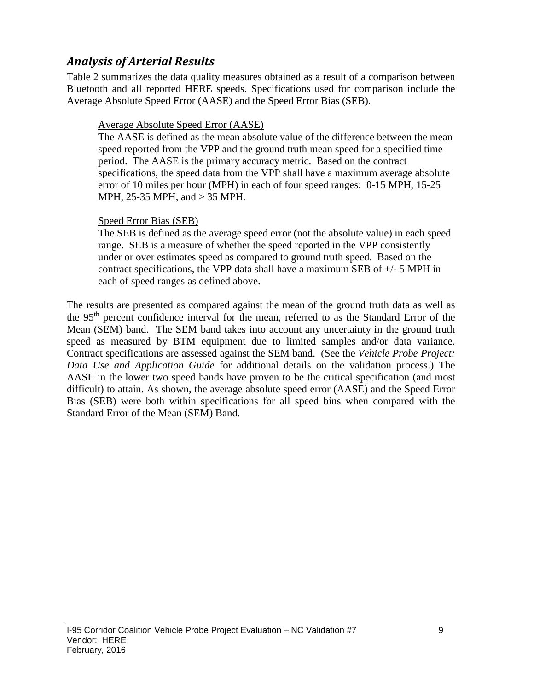### *Analysis of Arterial Results*

Table 2 summarizes the data quality measures obtained as a result of a comparison between Bluetooth and all reported HERE speeds. Specifications used for comparison include the Average Absolute Speed Error (AASE) and the Speed Error Bias (SEB).

#### Average Absolute Speed Error (AASE)

The AASE is defined as the mean absolute value of the difference between the mean speed reported from the VPP and the ground truth mean speed for a specified time period. The AASE is the primary accuracy metric. Based on the contract specifications, the speed data from the VPP shall have a maximum average absolute error of 10 miles per hour (MPH) in each of four speed ranges: 0-15 MPH, 15-25 MPH, 25-35 MPH, and > 35 MPH.

#### Speed Error Bias (SEB)

The SEB is defined as the average speed error (not the absolute value) in each speed range. SEB is a measure of whether the speed reported in the VPP consistently under or over estimates speed as compared to ground truth speed. Based on the contract specifications, the VPP data shall have a maximum SEB of +/- 5 MPH in each of speed ranges as defined above.

The results are presented as compared against the mean of the ground truth data as well as the 95th percent confidence interval for the mean, referred to as the Standard Error of the Mean (SEM) band. The SEM band takes into account any uncertainty in the ground truth speed as measured by BTM equipment due to limited samples and/or data variance. Contract specifications are assessed against the SEM band. (See the *Vehicle Probe Project: Data Use and Application Guide* for additional details on the validation process.) The AASE in the lower two speed bands have proven to be the critical specification (and most difficult) to attain. As shown, the average absolute speed error (AASE) and the Speed Error Bias (SEB) were both within specifications for all speed bins when compared with the Standard Error of the Mean (SEM) Band.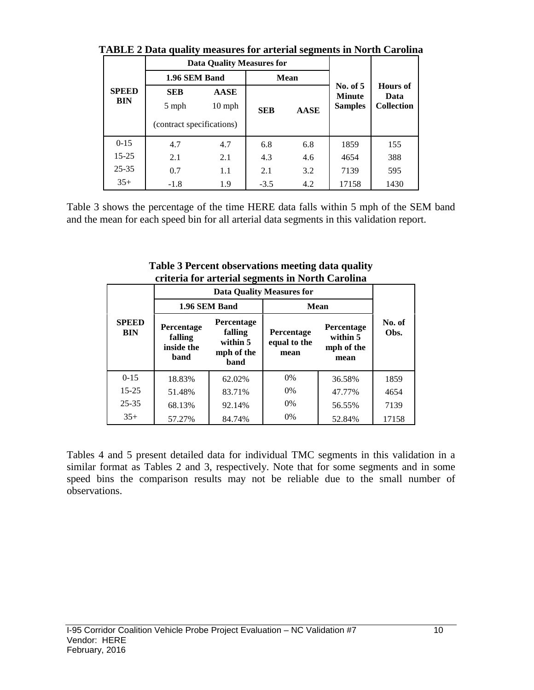|                            |                                                  | <b>Data Quality Measures for</b> |            |             |                                               |                                              |  |
|----------------------------|--------------------------------------------------|----------------------------------|------------|-------------|-----------------------------------------------|----------------------------------------------|--|
|                            | 1.96 SEM Band                                    |                                  |            | <b>Mean</b> |                                               |                                              |  |
| <b>SPEED</b><br><b>BIN</b> | <b>SEB</b><br>5 mph<br>(contract specifications) | <b>AASE</b><br>$10 \text{ mph}$  | <b>SEB</b> | <b>AASE</b> | No. of $5$<br><b>Minute</b><br><b>Samples</b> | <b>Hours</b> of<br>Data<br><b>Collection</b> |  |
| $0 - 15$                   | 4.7                                              | 4.7                              | 6.8        | 6.8         | 1859                                          | 155                                          |  |
| $15 - 25$                  | 2.1                                              | 2.1                              | 4.3        | 4.6         | 4654                                          | 388                                          |  |
| $25 - 35$                  | 0.7                                              | 1.1                              | 2.1        | 3.2         | 7139                                          | 595                                          |  |
| $35+$                      | $-1.8$                                           | 1.9                              | $-3.5$     | 4.2         | 17158                                         | 1430                                         |  |

**TABLE 2 Data quality measures for arterial segments in North Carolina**

Table 3 shows the percentage of the time HERE data falls within 5 mph of the SEM band and the mean for each speed bin for all arterial data segments in this validation report.

|                            |                                             |                                                                | entena for antenai seguiems in twi ur Carolina |                                              |                |
|----------------------------|---------------------------------------------|----------------------------------------------------------------|------------------------------------------------|----------------------------------------------|----------------|
|                            |                                             |                                                                | <b>Data Quality Measures for</b>               |                                              |                |
|                            | 1.96 SEM Band                               |                                                                | <b>Mean</b>                                    |                                              |                |
| <b>SPEED</b><br><b>BIN</b> | Percentage<br>falling<br>inside the<br>band | Percentage<br>falling<br>within 5<br>mph of the<br><b>band</b> | Percentage<br>equal to the<br>mean             | Percentage<br>within 5<br>mph of the<br>mean | No. of<br>Obs. |
| $0 - 15$                   | 18.83%                                      | 62.02%                                                         | $0\%$                                          | 36.58%                                       | 1859           |
| $15 - 25$                  | 51.48%                                      | 83.71%                                                         | $0\%$                                          | 47.77%                                       | 4654           |
| $25 - 35$                  | 68.13%                                      | 92.14%                                                         | $0\%$                                          | 56.55%                                       | 7139           |
| $35+$                      | 57.27%                                      | 84.74%                                                         | 0%                                             | 52.84%                                       | 17158          |

**Table 3 Percent observations meeting data quality criteria for arterial segments in North Carolina**

Tables 4 and 5 present detailed data for individual TMC segments in this validation in a similar format as Tables 2 and 3, respectively. Note that for some segments and in some speed bins the comparison results may not be reliable due to the small number of observations.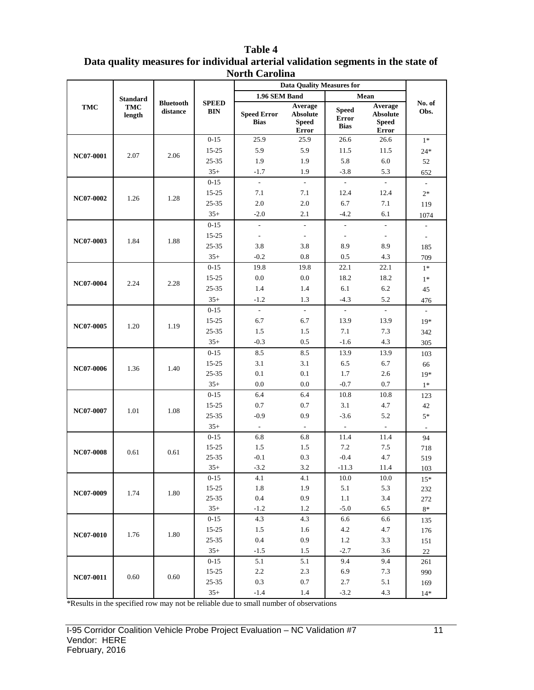|                  |                                  |                              |                            | <b>Data Quality Measures for</b>  |                                                            |                                             |                                                            |                          |     |
|------------------|----------------------------------|------------------------------|----------------------------|-----------------------------------|------------------------------------------------------------|---------------------------------------------|------------------------------------------------------------|--------------------------|-----|
|                  |                                  |                              |                            | 1.96 SEM Band                     |                                                            |                                             | Mean                                                       |                          |     |
| TMC              | <b>Standard</b><br>TMC<br>length | <b>Bluetooth</b><br>distance | <b>SPEED</b><br><b>BIN</b> | <b>Speed Error</b><br><b>Bias</b> | Average<br><b>Absolute</b><br><b>Speed</b><br><b>Error</b> | <b>Speed</b><br><b>Error</b><br><b>Bias</b> | Average<br><b>Absolute</b><br><b>Speed</b><br><b>Error</b> | No. of<br>Obs.           |     |
|                  |                                  |                              | $0 - 15$                   | 25.9                              | 25.9                                                       | 26.6                                        | 26.6                                                       | $1*$                     |     |
|                  |                                  |                              | $15 - 25$                  | 5.9                               | 5.9                                                        | 11.5                                        | 11.5                                                       | $24*$                    |     |
| <b>NC07-0001</b> | 2.07                             | 2.06                         | 25-35                      | 1.9                               | 1.9                                                        | 5.8                                         | 6.0                                                        | 52                       |     |
|                  |                                  |                              | $35+$                      | $-1.7$                            | 1.9                                                        | $-3.8$                                      | 5.3                                                        | 652                      |     |
|                  |                                  |                              | $0 - 15$                   | $\overline{\phantom{a}}$          | $\sim$                                                     | ÷.                                          | $\overline{\phantom{a}}$                                   | $\bar{\mathcal{L}}$      |     |
|                  |                                  |                              | 15-25                      | 7.1                               | 7.1                                                        | 12.4                                        | 12.4                                                       | $2*$                     |     |
| NC07-0002        | 1.26                             | 1.28                         | 25-35                      | 2.0                               | 2.0                                                        | 6.7                                         | 7.1                                                        | 119                      |     |
|                  |                                  |                              | $35+$                      | $-2.0$                            | 2.1                                                        | $-4.2$                                      | 6.1                                                        | 1074                     |     |
|                  |                                  |                              | $0 - 15$                   | $\overline{\phantom{a}}$          | $\overline{\phantom{a}}$                                   | $\overline{\phantom{a}}$                    | $\overline{\phantom{a}}$                                   | $\blacksquare$           |     |
|                  |                                  |                              | 15-25                      | $\overline{\phantom{a}}$          | $\overline{\phantom{a}}$                                   | $\overline{\phantom{a}}$                    | $\overline{\phantom{a}}$                                   | $\overline{\phantom{a}}$ |     |
| NC07-0003        | 1.84                             |                              | 1.88                       | 25-35                             | 3.8                                                        | 3.8                                         | 8.9                                                        | 8.9                      | 185 |
|                  |                                  |                              | $35+$                      | $-0.2$                            | 0.8                                                        | 0.5                                         | 4.3                                                        | 709                      |     |
|                  |                                  |                              | $0 - 15$                   | 19.8                              | 19.8                                                       | 22.1                                        | 22.1                                                       | $1*$                     |     |
|                  |                                  |                              | $15 - 25$                  | 0.0                               | 0.0                                                        | 18.2                                        | 18.2                                                       | $1*$                     |     |
| NC07-0004        | 2.24                             | 2.28                         | 25-35                      | 1.4                               | 1.4                                                        | 6.1                                         | $6.2\,$                                                    | 45                       |     |
|                  |                                  |                              | $35+$                      | $-1.2$                            | 1.3                                                        | $-4.3$                                      | 5.2                                                        | 476                      |     |
|                  |                                  |                              | $0 - 15$                   | $\mathbb{Z}^{\mathbb{Z}}$         | $\mathbb{Z}^{\mathbb{Z}}$                                  | $\mathbb{Z}^{\mathbb{Z}}$                   | $\mathbb{R}^{\mathbb{Z}}$                                  | $\mathcal{L}$            |     |
|                  |                                  |                              | $15 - 25$                  | 6.7                               | 6.7                                                        | 13.9                                        | 13.9                                                       | $19*$                    |     |
| NC07-0005        | 1.20                             | 1.19                         | $25 - 35$                  | 1.5                               | 1.5                                                        | 7.1                                         | 7.3                                                        | 342                      |     |
|                  |                                  |                              | $35+$                      | $-0.3$                            | 0.5                                                        | $-1.6$                                      | 4.3                                                        | 305                      |     |
|                  |                                  |                              | $0 - 15$                   | 8.5                               | 8.5                                                        | 13.9                                        | 13.9                                                       | 103                      |     |
|                  |                                  |                              | $15 - 25$                  | 3.1                               | 3.1                                                        | 6.5                                         | 6.7                                                        | 66                       |     |
| NC07-0006        | 1.36                             | 1.40                         | 25-35                      | 0.1                               | 0.1                                                        | 1.7                                         | 2.6                                                        | $19*$                    |     |
|                  |                                  |                              | $35+$                      | 0.0                               | $0.0\,$                                                    | $-0.7$                                      | 0.7                                                        | $1*$                     |     |
|                  |                                  |                              | $0 - 15$                   | 6.4                               | 6.4                                                        | 10.8                                        | 10.8                                                       | 123                      |     |
|                  |                                  |                              | $15 - 25$                  | 0.7                               | 0.7                                                        | 3.1                                         | 4.7                                                        | 42                       |     |
| <b>NC07-0007</b> | 1.01                             | 1.08                         | 25-35                      | $-0.9$                            | 0.9                                                        | $-3.6$                                      | 5.2                                                        | $5*$                     |     |
|                  |                                  |                              | $35+$                      | $\sim$                            | $\overline{\phantom{a}}$                                   | $\overline{\phantom{a}}$                    | $\overline{\phantom{a}}$                                   | $\overline{\phantom{a}}$ |     |
|                  |                                  |                              | $0 - 15$                   | 6.8                               | 6.8                                                        | 11.4                                        | 11.4                                                       | 94                       |     |
| <b>NC07-0008</b> | 0.61                             | 0.61                         | $15 - 25$                  | 1.5                               | 1.5                                                        | 7.2                                         | 7.5                                                        | 718                      |     |
|                  |                                  |                              | 25-35                      | $-0.1$                            | 0.3                                                        | $-0.4$                                      | 4.7                                                        | 519                      |     |
|                  |                                  |                              | $35+$                      | $-3.2$                            | $3.2\,$                                                    | $-11.3$                                     | 11.4                                                       | 103                      |     |
|                  |                                  |                              | $0-15$                     | 4.1                               | 4.1                                                        | 10.0                                        | 10.0                                                       | $15*$                    |     |
| NC07-0009        | 1.74                             | 1.80                         | 15-25                      | 1.8                               | 1.9                                                        | 5.1                                         | 5.3                                                        | 232                      |     |
|                  |                                  |                              | $25 - 35$                  | 0.4                               | 0.9                                                        | 1.1                                         | 3.4                                                        | 272                      |     |
|                  |                                  |                              | $35+$                      | $-1.2$                            | 1.2                                                        | $-5.0$                                      | 6.5                                                        | $8\,^*$                  |     |
|                  |                                  |                              | $0 - 15$                   | 4.3                               | 4.3                                                        | 6.6                                         | 6.6                                                        | 135                      |     |
| NC07-0010        | 1.76                             | 1.80                         | $15 - 25$                  | 1.5                               | 1.6                                                        | 4.2                                         | 4.7                                                        | 176                      |     |
|                  |                                  |                              | $25 - 35$                  | 0.4                               | 0.9                                                        | 1.2                                         | 3.3                                                        | 151                      |     |
|                  |                                  |                              | $35+$                      | $-1.5$                            | 1.5                                                        | $-2.7$                                      | 3.6                                                        | 22                       |     |
|                  |                                  |                              | $0 - 15$                   | 5.1                               | 5.1                                                        | 9.4                                         | 9.4                                                        | 261                      |     |
| NC07-0011        | 0.60                             | 0.60                         | $15 - 25$                  | $2.2\,$                           | 2.3                                                        | 6.9                                         | 7.3                                                        | 990                      |     |
|                  |                                  |                              | $25 - 35$                  | 0.3                               | 0.7                                                        | 2.7                                         | 5.1                                                        | 169                      |     |
|                  |                                  |                              | $35+$                      | $-1.4$                            | 1.4                                                        | $-3.2$                                      | 4.3                                                        | $14*$                    |     |

#### **Table 4 Data quality measures for individual arterial validation segments in the state of North Carolina**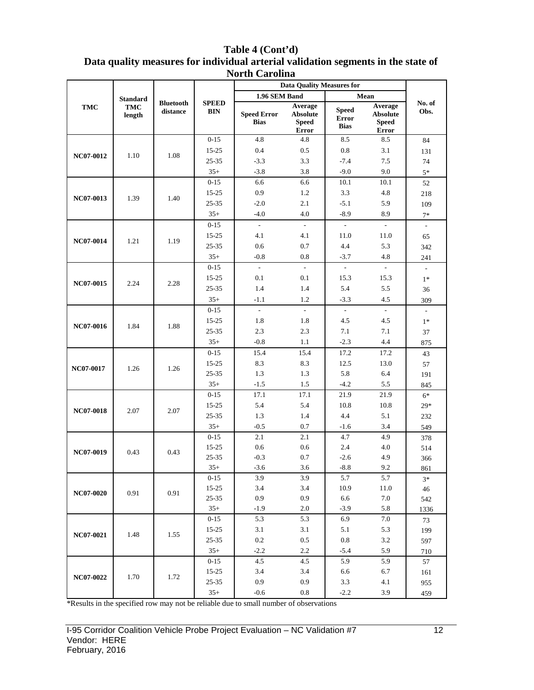| Table 4 (Cont'd)                                                                  |
|-----------------------------------------------------------------------------------|
| Data quality measures for individual arterial validation segments in the state of |
| <b>North Carolina</b>                                                             |

|                  |                 |                              |                            |                                   | <b>Data Quality Measures for</b>                    |                                             |                                                     |                          |     |
|------------------|-----------------|------------------------------|----------------------------|-----------------------------------|-----------------------------------------------------|---------------------------------------------|-----------------------------------------------------|--------------------------|-----|
|                  | <b>Standard</b> |                              |                            | 1.96 SEM Band                     |                                                     |                                             | Mean                                                |                          |     |
| <b>TMC</b>       | TMC<br>length   | <b>Bluetooth</b><br>distance | <b>SPEED</b><br><b>BIN</b> | <b>Speed Error</b><br><b>Bias</b> | Average<br><b>Absolute</b><br><b>Speed</b><br>Error | <b>Speed</b><br><b>Error</b><br><b>Bias</b> | Average<br><b>Absolute</b><br><b>Speed</b><br>Error | No. of<br>Obs.           |     |
|                  |                 |                              | $0 - 15$                   | 4.8                               | 4.8                                                 | 8.5                                         | 8.5                                                 | 84                       |     |
|                  |                 |                              | $15 - 25$                  | 0.4                               | 0.5                                                 | 0.8                                         | 3.1                                                 | 131                      |     |
| NC07-0012        | 1.10            | 1.08                         | 25-35                      | $-3.3$                            | 3.3                                                 | $-7.4$                                      | 7.5                                                 | 74                       |     |
|                  |                 |                              | $35+$                      | $-3.8$                            | 3.8                                                 | $-9.0$                                      | 9.0                                                 | $5*$                     |     |
|                  |                 |                              | $0 - 15$                   | 6.6                               | 6.6                                                 | 10.1                                        | 10.1                                                | 52                       |     |
|                  |                 |                              | $15 - 25$                  | 0.9                               | 1.2                                                 | 3.3                                         | 4.8                                                 | 218                      |     |
| NC07-0013        | 1.39            | 1.40                         | 25-35                      | $-2.0$                            | 2.1                                                 | $-5.1$                                      | 5.9                                                 | 109                      |     |
|                  |                 |                              | $35+$                      | $-4.0$                            | 4.0                                                 | $-8.9$                                      | 8.9                                                 | $7*$                     |     |
|                  |                 |                              | $0 - 15$                   | $\overline{\phantom{a}}$          | $\overline{\phantom{a}}$                            | $\overline{\phantom{a}}$                    | $\mathcal{L}_{\mathcal{A}}$                         | $\overline{\phantom{a}}$ |     |
|                  |                 |                              | $15 - 25$                  | 4.1                               | 4.1                                                 | 11.0                                        | 11.0                                                | 65                       |     |
| NC07-0014        | 1.21            |                              | 1.19                       | 25-35                             | 0.6                                                 | 0.7                                         | 4.4                                                 | 5.3                      | 342 |
|                  |                 |                              | $35+$                      | $-0.8$                            | 0.8                                                 | $-3.7$                                      | 4.8                                                 | 241                      |     |
|                  |                 |                              | $0 - 15$                   | $\mathcal{L}$                     | $\mathcal{L}$                                       | $\overline{\phantom{a}}$                    | $\mathcal{L}^{\pm}$                                 | $\overline{\phantom{a}}$ |     |
|                  |                 |                              | $15 - 25$                  | 0.1                               | 0.1                                                 | 15.3                                        | 15.3                                                | $1*$                     |     |
| NC07-0015        | 2.24            | 2.28                         | $25 - 35$                  | 1.4                               | 1.4                                                 | 5.4                                         | 5.5                                                 | 36                       |     |
|                  |                 |                              | $35+$                      | $-1.1$                            | 1.2                                                 | $-3.3$                                      | 4.5                                                 | 309                      |     |
|                  |                 |                              | $0 - 15$                   | $\overline{\phantom{a}}$          | $\overline{\phantom{a}}$                            | $\overline{\phantom{a}}$                    | $\sim$                                              | $\overline{\phantom{a}}$ |     |
| NC07-0016        |                 |                              | $15 - 25$                  | 1.8                               | 1.8                                                 | 4.5                                         | 4.5                                                 | $1*$                     |     |
|                  | 1.84            | 1.88                         | 25-35                      | 2.3                               | 2.3                                                 | 7.1                                         | 7.1                                                 | 37                       |     |
|                  |                 |                              | $35+$                      | $-0.8$                            | 1.1                                                 | $-2.3$                                      | 4.4                                                 | 875                      |     |
|                  |                 |                              | $0 - 15$                   | 15.4                              | 15.4                                                | 17.2                                        | 17.2                                                | 43                       |     |
|                  |                 |                              | $15 - 25$                  | 8.3                               | 8.3                                                 | 12.5                                        | 13.0                                                | 57                       |     |
| NC07-0017        | 1.26            |                              | 1.26                       | 25-35                             | 1.3                                                 | 1.3                                         | 5.8                                                 | 6.4                      | 191 |
|                  |                 |                              | $35+$                      | $-1.5$                            | 1.5                                                 | $-4.2$                                      | 5.5                                                 | 845                      |     |
|                  |                 |                              | $0 - 15$                   | 17.1                              | 17.1                                                | 21.9                                        | 21.9                                                | $6*$                     |     |
|                  |                 |                              | $15 - 25$                  | 5.4                               | 5.4                                                 | 10.8                                        | 10.8                                                | $29*$                    |     |
| <b>NC07-0018</b> | 2.07            | 2.07                         | 25-35                      | 1.3                               | 1.4                                                 | 4.4                                         | 5.1                                                 | 232                      |     |
|                  |                 |                              | $35+$                      | $-0.5$                            | 0.7                                                 | $-1.6$                                      | 3.4                                                 | 549                      |     |
|                  |                 |                              | $0 - 15$                   | 2.1                               | 2.1                                                 | 4.7                                         | 4.9                                                 | 378                      |     |
|                  |                 |                              | 15-25                      | 0.6                               | 0.6                                                 | 2.4                                         | 4.0                                                 | 514                      |     |
| NC07-0019        | 0.43            | 0.43                         | 25-35                      | $-0.3$                            | 0.7                                                 | $-2.6$                                      | 4.9                                                 | 366                      |     |
|                  |                 |                              | $35+$                      | $-3.6$                            | 3.6                                                 | $-8.8$                                      | 9.2                                                 | 861                      |     |
|                  |                 |                              | $0-15$                     | 3.9                               | 3.9                                                 | 5.7                                         | 5.7                                                 | $3*$                     |     |
| NC07-0020        | 0.91            | 0.91                         | $15 - 25$                  | 3.4                               | 3.4                                                 | 10.9                                        | 11.0                                                | 46                       |     |
|                  |                 |                              | $25 - 35$                  | 0.9                               | 0.9                                                 | 6.6                                         | $7.0\,$                                             | 542                      |     |
|                  |                 |                              | $35+$                      | $-1.9$                            | 2.0                                                 | $-3.9$                                      | 5.8                                                 | 1336                     |     |
|                  |                 |                              | $0 - 15$                   | 5.3                               | 5.3                                                 | 6.9                                         | $7.0\,$                                             | 73                       |     |
| NC07-0021        | 1.48            | 1.55                         | $15 - 25$                  | 3.1                               | 3.1                                                 | 5.1                                         | 5.3                                                 | 199                      |     |
|                  |                 |                              | $25 - 35$                  | $0.2\,$                           | 0.5                                                 | $0.8\,$                                     | 3.2                                                 | 597                      |     |
|                  |                 |                              | $35+$                      | $-2.2$                            | 2.2                                                 | $-5.4$                                      | 5.9                                                 | 710                      |     |
|                  |                 |                              | $0 - 15$                   | 4.5                               | 4.5                                                 | 5.9                                         | 5.9                                                 | 57                       |     |
| NC07-0022        |                 |                              | $15 - 25$                  | 3.4                               | 3.4                                                 | 6.6                                         | 6.7                                                 | 161                      |     |
|                  | 1.70            | 1.72                         | $25 - 35$                  | 0.9                               | 0.9                                                 | 3.3                                         | 4.1                                                 | 955                      |     |
|                  |                 |                              | $35+$                      | $-0.6$                            | 0.8                                                 | $-2.2$                                      | 3.9                                                 | 459                      |     |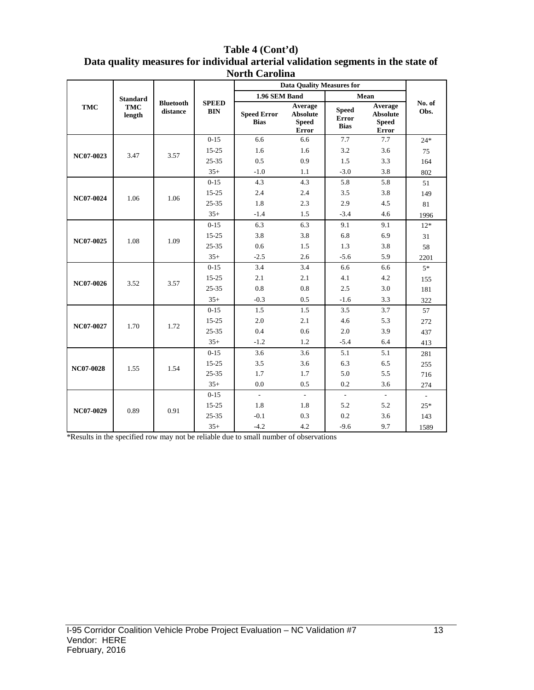|     | Table 4 (Cont'd)<br>Data quality measures for individual arterial validation segments in the state of<br><b>North Carolina</b> |                              |                            |                                   |                                              |                                             |                                                     |                |  |  |  |
|-----|--------------------------------------------------------------------------------------------------------------------------------|------------------------------|----------------------------|-----------------------------------|----------------------------------------------|---------------------------------------------|-----------------------------------------------------|----------------|--|--|--|
|     |                                                                                                                                |                              |                            |                                   | <b>Data Quality Measures for</b>             |                                             |                                                     |                |  |  |  |
|     | <b>Standard</b>                                                                                                                |                              |                            | 1.96 SEM Band                     |                                              |                                             | Mean                                                |                |  |  |  |
| TMC | TMC<br>length                                                                                                                  | <b>Bluetooth</b><br>distance | <b>SPEED</b><br><b>BIN</b> | <b>Speed Error</b><br><b>Bias</b> | Average<br><b>Absolute</b><br>Speed<br>Error | <b>Speed</b><br><b>Error</b><br><b>Bias</b> | Average<br><b>Absolute</b><br><b>Speed</b><br>Error | No. of<br>Obs. |  |  |  |

**Error Error NC07-0023** 3.47 3.57  $0-15$  6.6 6.6 7.7 7.7 24\* 15-25 1.6 1.6 3.2 3.6 75 25-35 0.5 0.9 1.5 3.3 164 35+ -1.0 1.1 -3.0 3.8 802 **NC07-0024** 1.06 1.06 0-15 4.3 4.3 5.8 5.8 51 15-25 2.4 2.4 3.5 3.8 149 25-35 1.8 2.3 2.9 4.5 81 35+ -1.4 1.5 -3.4 4.6 1996 **NC07-0025** 1.08 1.09  $0-15$  6.3 6.3 9.1 9.1 12\* 15-25 3.8 3.8 6.8 6.9 31 25-35 0.6 1.5 1.3 3.8 58 35+ -2.5 2.6 -5.6 5.9 2201 **NC07-0026** 3.52 3.57 0-15 3.4 3.4 6.6 6.6 5\* 15-25 2.1 2.1 4.1 4.2 155 25-35 0.8 0.8 2.5 3.0 181  $35+$  -0.3 0.5 -1.6 3.3 322 **NC07-0027** 1.70 1.72 0-15 1.5 1.5 3.5 3.7 57 15-25 2.0 2.1 4.6 5.3 272 25-35 0.4 0.6 2.0 3.9 437 35+ -1.2 1.2 -5.4 6.4 413 **NC07-0028** 1.55 1.54 0-15 3.6 3.6 5.1 5.1 281 15-25 3.5 3.6 6.3 6.5 255 25-35 1.7 1.7 5.0 5.5 716 35+ 0.0 0.5 0.2 3.6 274 **NC07-0029** 0.89 0.91 0-15 - - - - - 15-25 1.8 1.8 5.2 5.2 25\* 25-35 -0.1 0.3 0.2 3.6 143 35+  $-4.2$  4.2  $-9.6$  9.7 1589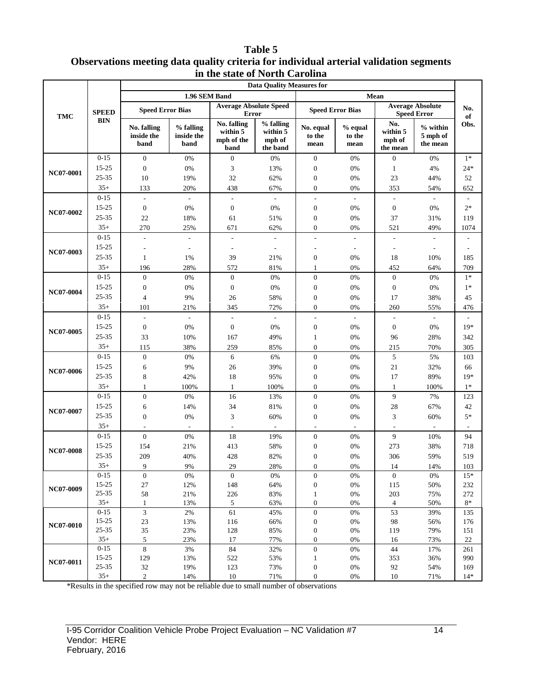#### **Table 5 Observations meeting data quality criteria for individual arterial validation segments in the state of North Carolina**

|                        |                |                                   |                                 |                                               | <b>Data Quality Measures for</b>            |                                      |                             |                                       |                                               |              |
|------------------------|----------------|-----------------------------------|---------------------------------|-----------------------------------------------|---------------------------------------------|--------------------------------------|-----------------------------|---------------------------------------|-----------------------------------------------|--------------|
|                        |                |                                   | 1.96 SEM Band                   |                                               |                                             |                                      |                             | Mean                                  |                                               |              |
| <b>TMC</b>             | <b>SPEED</b>   | <b>Speed Error Bias</b>           |                                 | <b>Average Absolute Speed</b><br><b>Error</b> |                                             | <b>Speed Error Bias</b>              |                             |                                       | <b>Average Absolute</b><br><b>Speed Error</b> | No.<br>of    |
|                        | <b>BIN</b>     | No. falling<br>inside the<br>band | % falling<br>inside the<br>band | No. falling<br>within 5<br>mph of the<br>band | % falling<br>within 5<br>mph of<br>the band | No. equal<br>to the<br>mean          | $%$ equal<br>to the<br>mean | No.<br>within 5<br>mph of<br>the mean | $%$ within<br>5 mph of<br>the mean            | Obs.         |
|                        | $0 - 15$       | $\overline{0}$                    | 0%                              | $\mathbf{0}$                                  | 0%                                          | $\boldsymbol{0}$                     | 0%                          | $\boldsymbol{0}$                      | 0%                                            | $1*$         |
|                        | $15 - 25$      | $\overline{0}$                    | 0%                              | 3                                             | 13%                                         | $\boldsymbol{0}$                     | 0%                          | 1                                     | 4%                                            | $24*$        |
| NC07-0001<br>NC07-0002 | 25-35          | 10                                | 19%                             | 32                                            | 62%                                         | $\boldsymbol{0}$                     | 0%                          | 23                                    | 44%                                           | 52           |
|                        | $35+$          | 133                               | 20%                             | 438                                           | 67%                                         | $\boldsymbol{0}$                     | 0%                          | 353                                   | 54%                                           | 652          |
|                        | $0 - 15$       | $\mathcal{L}$                     |                                 | $\overline{a}$                                | $\mathbf{r}$                                | $\blacksquare$                       | $\mathcal{L}$               | $\sim$                                | $\sim$                                        |              |
|                        | 15-25          | $\boldsymbol{0}$                  | 0%                              | $\boldsymbol{0}$                              | 0%                                          | $\boldsymbol{0}$                     | 0%                          | $\boldsymbol{0}$                      | 0%                                            | $2*$         |
|                        | 25-35          | 22                                | 18%                             | 61                                            | 51%                                         | $\boldsymbol{0}$                     | 0%                          | 37                                    | 31%                                           | 119          |
|                        | $35+$          | 270                               | 25%                             | 671                                           | 62%                                         | $\boldsymbol{0}$                     | 0%                          | 521                                   | 49%                                           | 1074         |
|                        | $0 - 15$       | $\overline{a}$                    |                                 | $\overline{a}$                                |                                             |                                      |                             |                                       |                                               |              |
|                        | 15-25          |                                   |                                 |                                               |                                             |                                      | $\overline{a}$              |                                       | $\overline{\phantom{a}}$                      |              |
| NC07-0003              | 25-35          | 1                                 | 1%                              | 39                                            | 21%                                         | $\boldsymbol{0}$                     | 0%                          | 18                                    | 10%                                           | 185          |
|                        | $35+$          | 196                               | 28%                             | 572                                           | 81%                                         | 1                                    | 0%                          | 452                                   | 64%                                           | 709          |
|                        | $0 - 15$       | $\overline{0}$                    | 0%                              | $\boldsymbol{0}$                              | 0%                                          | $\boldsymbol{0}$                     | 0%                          | $\boldsymbol{0}$                      | 0%                                            | $1*$         |
| NC07-0004              | 15-25          | $\mathbf{0}$                      | 0%                              | $\boldsymbol{0}$                              | 0%                                          | $\boldsymbol{0}$                     | 0%                          | $\boldsymbol{0}$                      | 0%                                            | $1*$         |
|                        | 25-35          | $\overline{4}$                    | 9%                              | 26                                            | 58%                                         | $\boldsymbol{0}$                     | 0%                          | 17                                    | 38%                                           | 45           |
|                        | $35+$          | 101                               | 21%                             | 345                                           | 72%                                         | $\overline{0}$                       | 0%                          | 260                                   | 55%                                           | 476          |
|                        | $0 - 15$       | $\overline{\phantom{a}}$          | $\overline{\phantom{a}}$        | L,                                            | $\overline{\phantom{a}}$                    | $\overline{\phantom{a}}$             | $\overline{\phantom{a}}$    | $\overline{a}$                        | $\overline{\phantom{a}}$                      |              |
| NC07-0005              | 15-25          | $\boldsymbol{0}$                  | 0%                              | $\boldsymbol{0}$                              | 0%                                          | $\boldsymbol{0}$                     | 0%                          | $\boldsymbol{0}$                      | 0%                                            | $19*$        |
|                        | 25-35          | 33                                | 10%                             | 167                                           | 49%                                         | $\mathbf{1}$                         | 0%                          | 96                                    | 28%                                           | 342          |
|                        | $35+$          | 115                               | 38%                             | 259                                           | 85%                                         | $\boldsymbol{0}$                     | 0%                          | 215                                   | 70%                                           | 305          |
|                        | $0 - 15$       | $\overline{0}$                    | 0%                              | 6                                             | 6%                                          | $\boldsymbol{0}$                     | 0%                          | 5                                     | 5%                                            | 103          |
|                        | $15 - 25$      | 6                                 | 9%                              | 26                                            | 39%                                         | $\boldsymbol{0}$                     | 0%                          | 21                                    | 32%                                           | 66           |
| NC07-0006              | 25-35          | 8                                 | 42%                             | 18                                            | 95%                                         | $\boldsymbol{0}$                     | 0%                          | 17                                    | 89%                                           | $19*$        |
|                        | $35+$          | 1                                 | 100%                            | $\mathbf{1}$                                  | 100%                                        | $\boldsymbol{0}$                     | 0%                          | $\mathbf{1}$                          | 100%                                          | $1*$         |
|                        | $0 - 15$       | $\boldsymbol{0}$                  | 0%                              | 16                                            | 13%                                         | $\boldsymbol{0}$                     | 0%                          | 9                                     | 7%                                            | 123          |
|                        | 15-25          | 6                                 | 14%                             | 34                                            | 81%                                         | $\boldsymbol{0}$                     | 0%                          | 28                                    | 67%                                           | 42           |
| NC07-0007              | 25-35          | $\overline{0}$                    | 0%                              | $\mathfrak{Z}$                                | 60%                                         | $\boldsymbol{0}$                     | 0%                          | 3                                     | 60%                                           | $5*$         |
|                        | $35+$          |                                   |                                 | $\overline{\phantom{a}}$                      | $\overline{\phantom{a}}$                    |                                      |                             |                                       |                                               |              |
|                        | $0 - 15$       | $\overline{0}$                    | 0%                              | 18                                            | 19%                                         | $\boldsymbol{0}$                     | 0%                          | 9                                     | 10%                                           | 94           |
|                        | 15-25          | 154                               | 21%                             | 413                                           | 58%                                         | $\boldsymbol{0}$                     | 0%                          | 273                                   | 38%                                           | 718          |
| <b>NC07-0008</b>       | 25-35          | 209                               | 40%                             | 428                                           | 82%                                         | $\boldsymbol{0}$                     | 0%                          | 306                                   | 59%                                           | 519          |
|                        | $35+$          | 9                                 | 9%                              | 29                                            | 28%                                         | $\Omega$                             | $0\%$                       | 14                                    | 14%                                           | 103          |
|                        | $0-15$         | $\boldsymbol{0}$                  | 0%                              | $\mathbf{0}$                                  | $0\%$                                       | $\boldsymbol{0}$                     | $0\%$                       | $\boldsymbol{0}$                      | 0%                                            | $15*$        |
|                        | 15-25          | 27                                | 12%                             | 148                                           | 64%                                         | $\boldsymbol{0}$                     | $0\%$                       | 115                                   | $50\%$                                        | 232          |
| NC07-0009              | 25-35          | 58                                | 21%                             | 226                                           | 83%                                         | $\mathbf{1}$                         | $0\%$                       | 203                                   | 75%                                           | 272          |
|                        | $35+$          | $\mathbf{1}$                      | 13%                             | $\sqrt{5}$                                    | 63%                                         | $\boldsymbol{0}$                     | $0\%$                       | 4                                     | 50%                                           | $8\ast$      |
|                        | $0-15$         | 3                                 | $2\%$                           | 61                                            | 45%                                         | $\boldsymbol{0}$                     | $0\%$                       | 53                                    | 39%                                           | 135          |
| <b>NC07-0010</b>       | 15-25          | $23\,$                            | 13%                             | 116                                           | 66%                                         | $\boldsymbol{0}$                     | $0\%$                       | 98                                    | 56%                                           | 176          |
|                        | 25-35          | 35                                | 23%                             | 128                                           | 85%                                         | $\boldsymbol{0}$                     | $0\%$                       | 119                                   | 79%                                           | 151          |
|                        | $35+$          | 5                                 | 23%                             | 17                                            | 77%                                         | $\boldsymbol{0}$                     | 0%                          | 16                                    | 73%                                           | 22           |
|                        | $0 - 15$       | 8                                 | 3%                              | 84                                            | 32%                                         | $\boldsymbol{0}$                     | $0\%$                       | 44                                    | 17%                                           | 261          |
| NC07-0011              | 15-25<br>25-35 | 129<br>$32\,$                     | 13%                             | 522                                           | 53%                                         | $\mathbf{1}$                         | $0\%$                       | 353                                   | 36%                                           | 990          |
|                        | $35+$          | $\overline{c}$                    | 19%<br>14%                      | 123<br>$10\,$                                 | 73%<br>71%                                  | $\boldsymbol{0}$<br>$\boldsymbol{0}$ | $0\%$<br>$0\%$              | 92<br>$10\,$                          | 54%<br>71%                                    | 169<br>$14*$ |
|                        |                |                                   |                                 |                                               |                                             |                                      |                             |                                       |                                               |              |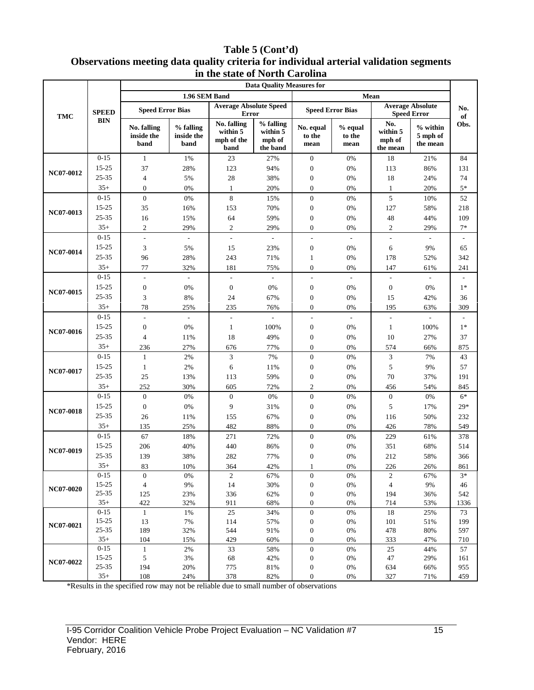#### **Table 5 (Cont'd) Observations meeting data quality criteria for individual arterial validation segments in the state of North Carolina**

| <b>Data Quality Measures for</b> |                   |                                   |                                 |                                               |                                             |                                      |                           |                                       |                                               |           |
|----------------------------------|-------------------|-----------------------------------|---------------------------------|-----------------------------------------------|---------------------------------------------|--------------------------------------|---------------------------|---------------------------------------|-----------------------------------------------|-----------|
|                                  |                   |                                   | 1.96 SEM Band                   |                                               |                                             |                                      |                           | Mean                                  |                                               |           |
| <b>TMC</b>                       | <b>SPEED</b>      | <b>Speed Error Bias</b>           |                                 | <b>Average Absolute Speed</b><br><b>Error</b> |                                             | <b>Speed Error Bias</b>              |                           |                                       | <b>Average Absolute</b><br><b>Speed Error</b> | No.<br>of |
|                                  | <b>BIN</b>        | No. falling<br>inside the<br>band | % falling<br>inside the<br>band | No. falling<br>within 5<br>mph of the<br>band | % falling<br>within 5<br>mph of<br>the band | No. equal<br>to the<br>mean          | % equal<br>to the<br>mean | No.<br>within 5<br>mph of<br>the mean | % within<br>5 mph of<br>the mean              | Obs.      |
|                                  | $0 - 15$          | $\mathbf{1}$                      | 1%                              | 23                                            | 27%                                         | $\boldsymbol{0}$                     | 0%                        | 18                                    | 21%                                           | 84        |
| NC07-0012                        | 15-25             | 37                                | 28%                             | 123                                           | 94%                                         | $\boldsymbol{0}$                     | 0%                        | 113                                   | 86%                                           | 131       |
|                                  | 25-35             | $\overline{4}$                    | 5%                              | $28\,$                                        | 38%                                         | $\boldsymbol{0}$                     | 0%                        | 18                                    | 24%                                           | 74        |
|                                  | $35+$             | $\overline{0}$                    | 0%                              | $\mathbf{1}$                                  | 20%                                         | $\overline{0}$                       | 0%                        | $\mathbf{1}$                          | 20%                                           | $5*$      |
|                                  | $0 - 15$          | $\boldsymbol{0}$                  | $0\%$                           | $\,8\,$                                       | 15%                                         | $\boldsymbol{0}$                     | $0\%$                     | 5                                     | 10%                                           | 52        |
| NC07-0013                        | 15-25             | 35                                | 16%                             | 153                                           | 70%                                         | $\boldsymbol{0}$                     | 0%                        | 127                                   | 58%                                           | 218       |
|                                  | 25-35             | 16                                | 15%                             | 64                                            | 59%                                         | $\boldsymbol{0}$                     | 0%                        | 48                                    | 44%                                           | 109       |
|                                  | $35+$             | $\mathfrak{2}$                    | 29%                             | $\overline{2}$                                | 29%                                         | $\boldsymbol{0}$                     | 0%                        | $\mathbf{2}$                          | 29%                                           | $7*$      |
|                                  | $0 - 15$          | $\overline{a}$                    |                                 | $\overline{a}$                                |                                             | $\frac{1}{2}$                        | $\overline{a}$            | ÷,                                    |                                               |           |
| NC07-0014                        | 15-25             | 3                                 | 5%                              | 15                                            | 23%                                         | $\boldsymbol{0}$                     | 0%                        | 6                                     | 9%                                            | 65        |
|                                  | $25 - 35$         | 96                                | 28%                             | 243                                           | 71%                                         | 1                                    | 0%                        | 178                                   | 52%                                           | 342       |
|                                  | $35+$             | 77                                | 32%                             | 181                                           | 75%                                         | $\boldsymbol{0}$                     | 0%                        | 147                                   | 61%                                           | 241       |
|                                  | $0 - 15$          | L,                                | $\overline{\phantom{a}}$        | $\overline{\phantom{a}}$                      | $\sim$                                      | $\overline{\phantom{a}}$             | $\overline{\phantom{a}}$  | L.                                    | $\mathcal{L}$                                 |           |
| NC07-0015                        | 15-25             | $\boldsymbol{0}$                  | 0%                              | $\boldsymbol{0}$                              | 0%                                          | $\boldsymbol{0}$                     | 0%                        | $\boldsymbol{0}$                      | 0%                                            | $1*$      |
|                                  | 25-35             | 3                                 | 8%                              | 24                                            | 67%                                         | $\boldsymbol{0}$                     | $0\%$                     | 15                                    | 42%                                           | 36        |
|                                  | $35+$             | 78                                | 25%                             | 235                                           | 76%                                         | $\overline{0}$                       | 0%                        | 195                                   | 63%                                           | 309       |
|                                  | $0 - 15$          | $\overline{a}$                    | $\overline{\phantom{a}}$        | $\overline{\phantom{a}}$                      | $\overline{a}$                              | $\overline{a}$                       | $\overline{\phantom{a}}$  | $\overline{a}$                        | $\overline{\phantom{a}}$                      |           |
| NC07-0016                        | $15 - 25$         | $\boldsymbol{0}$                  | $0\%$                           | $\mathbf{1}$                                  | 100%                                        | $\boldsymbol{0}$                     | 0%                        | $\mathbf{1}$                          | 100%                                          | $1*$      |
|                                  | $25 - 35$         | $\overline{4}$                    | 11%                             | 18                                            | 49%                                         | $\boldsymbol{0}$                     | 0%                        | 10                                    | 27%                                           | 37        |
|                                  | $35+$             | 236                               | 27%                             | 676                                           | 77%                                         | $\boldsymbol{0}$                     | 0%                        | 574                                   | 66%                                           | 875       |
|                                  | $0 - 15$          | $\mathbf{1}$                      | 2%                              | 3                                             | 7%                                          | $\boldsymbol{0}$                     | 0%                        | 3                                     | 7%                                            | 43        |
|                                  | 15-25             | $\mathbf{1}$                      | 2%                              | 6                                             | 11%                                         | $\boldsymbol{0}$                     | 0%                        | 5                                     | 9%                                            | 57        |
| NC07-0017                        | 25-35             | 25                                | 13%                             | 113                                           | 59%                                         | $\boldsymbol{0}$                     | 0%                        | 70                                    | 37%                                           | 191       |
|                                  | $35+$             | 252                               | 30%                             | 605                                           | 72%                                         | $\mathfrak{2}$                       | 0%                        | 456                                   | 54%                                           | 845       |
|                                  | $0 - 15$          | $\mathbf{0}$                      | $0\%$                           | $\boldsymbol{0}$                              | 0%                                          | $\boldsymbol{0}$                     | $0\%$                     | $\boldsymbol{0}$                      | 0%                                            | $6*$      |
| <b>NC07-0018</b>                 | $15 - 25$         | $\boldsymbol{0}$                  | $0\%$                           | 9                                             | 31%                                         | $\boldsymbol{0}$                     | 0%                        | 5                                     | 17%                                           | $29*$     |
|                                  | 25-35             | 26                                | 11%                             | 155                                           | 67%                                         | $\boldsymbol{0}$                     | 0%                        | 116                                   | 50%                                           | 232       |
|                                  | $35+$             | 135                               | 25%                             | 482                                           | 88%                                         | $\boldsymbol{0}$                     | $0\%$                     | 426                                   | 78%                                           | 549       |
|                                  | $0 - 15$          | 67                                | 18%                             | 271                                           | 72%                                         | $\boldsymbol{0}$                     | 0%                        | 229                                   | 61%                                           | 378       |
|                                  | 15-25             | 206                               | 40%                             | 440                                           | 86%                                         | $\boldsymbol{0}$                     | $0\%$                     | 351                                   | 68%                                           | 514       |
| NC07-0019                        | 25-35             | 139                               | 38%                             | 282                                           | 77%                                         | $\boldsymbol{0}$                     | 0%                        | 212                                   | 58%                                           | 366       |
|                                  | $35+$             | 83                                | 10%                             | 364                                           | 42%                                         |                                      | 0%                        | 226                                   | 26%                                           | 861       |
|                                  | $0-15$            | $\mathbf{0}$                      | $0\%$                           | 2                                             | 67%                                         | $\boldsymbol{0}$                     | $0\%$                     | $\sqrt{2}$                            | 67%                                           | $3*$      |
| <b>NC07-0020</b>                 | $15 - 25$         | $\overline{4}$                    | $9\%$                           | 14                                            | 30%                                         | $\boldsymbol{0}$                     | $0\%$                     | $\overline{4}$                        | 9%                                            | 46        |
|                                  | 25-35             | 125                               | 23%                             | 336                                           | 62%                                         | $\boldsymbol{0}$                     | $0\%$                     | 194                                   | 36%                                           | 542       |
|                                  | $35+$             | 422                               | 32%                             | 911                                           | 68%                                         | $\boldsymbol{0}$                     | $0\%$                     | 714                                   | 53%                                           | 1336      |
|                                  | $0 - 15$          | $\mathbf{1}$                      | 1%                              | 25                                            | 34%                                         | $\boldsymbol{0}$                     | $0\%$                     | 18                                    | 25%                                           | 73        |
| NC07-0021                        | $15 - 25$         | 13                                | 7%                              | 114                                           | 57%                                         | $\boldsymbol{0}$                     | $0\%$                     | 101                                   | 51%                                           | 199       |
|                                  | 25-35             | 189                               | 32%                             | 544                                           | 91%                                         | $\boldsymbol{0}$                     | $0\%$                     | 478                                   | 80%                                           | 597       |
|                                  | $35+$<br>$0 - 15$ | 104<br>$\mathbf{1}$               | 15%                             | 429                                           | 60%<br>58%                                  | $\boldsymbol{0}$<br>$\boldsymbol{0}$ | $0\%$<br>$0\%$            | 333<br>25                             | 47%<br>44%                                    | 710<br>57 |
|                                  | $15 - 25$         | $\sqrt{5}$                        | $2\%$<br>$3\%$                  | 33<br>68                                      | 42%                                         | $\boldsymbol{0}$                     | $0\%$                     | 47                                    | 29%                                           | 161       |
| NC07-0022                        | 25-35             | 194                               | 20%                             | 775                                           | 81%                                         | $\boldsymbol{0}$                     | $0\%$                     | 634                                   | 66%                                           | 955       |
|                                  | $35+$             | 108                               | 24%                             | 378                                           | 82%                                         | $\boldsymbol{0}$                     | $0\%$                     | 327                                   | 71%                                           | 459       |